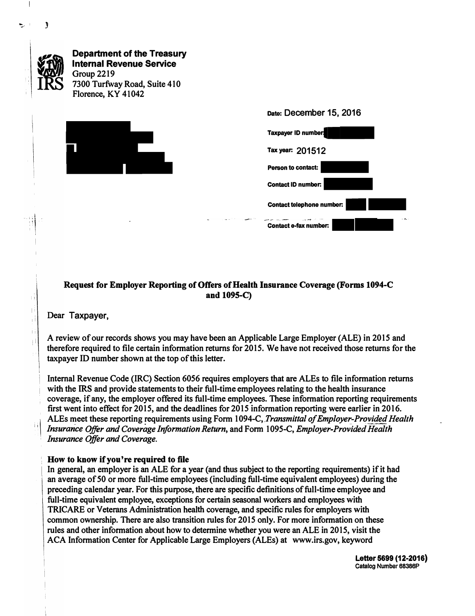

## **Request for Employer Reporting of Offers of Health Insurance Coverage (Forms 1094-C and 109S-C)**

**Dear Taxpayer,** 

j 1

֒.

":,, <sup>I</sup>**J** 

**A review of our records shows you may have been an Applicable Large Employer (ALE) in 2015 and therefore required to file certain information returns for 2015. We have not received those returns for the taxpayer ID number shown at the top of this letter.** 

**Internal Revenue Code (IRC) Section 6056 requires employers that are ALEs to file information returns with the IRS and provide statements to their full-time employees relating to the health insurance coverage, if any, the employer offered its full-time employees. These information reporting requirements first went into effect for 2015, and the deadlines for 2015 information reporting were earlier in 2016. , ALEs meet these reporting requirements using Form 1094-C,** *.Transmittal of Employer\_-Provided Health*  Insurance Offer and Coverage Information Return, and Form 1095-C, *Employer-Provided Health Insurance Offer and Coverage.* 

## <sup>1</sup>**How to know if you're required to file**

**In general, an employer is an ALE for a year ( and thus subject to the reporting requirements) if it had an average of 50 or more full-time employees (including full-time equivalent employees) during the preceding calendar year. For this purpose, there are specific definitions of full-time employee and full-time equivalent employee, exceptions for certain seasonal workers and employees with TRICARE or Veterans Administration health coverage, and specific rules for employers with common ownership. There are also transition rules for 2015 only. For more information on these rules and other information about how to determine whether you were an ALE in 2015, visit the ACA Information Center for Applicable Large Employers {ALEs) at www.irs.gov, keyword**